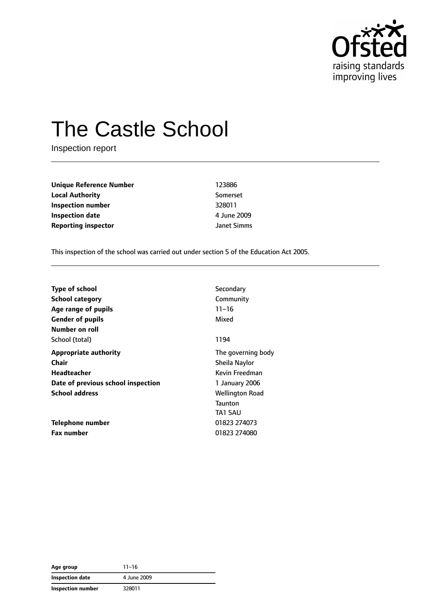

# The Castle School

Inspection report

| <b>Unique Reference Number</b> |  |
|--------------------------------|--|
| <b>Local Authority</b>         |  |
| Inspection number              |  |
| <b>Inspection date</b>         |  |
| <b>Reporting inspector</b>     |  |

**Unique Reference Number** 123886 **Local Authority** Somerset **Inspection number** 328011 **Inspection date** 4 June 2009 **Janet Simms** 

This inspection of the school was carried out under section 5 of the Education Act 2005.

| <b>Type of school</b>              | Secondary              |
|------------------------------------|------------------------|
|                                    |                        |
| <b>School category</b>             | Community              |
| Age range of pupils                | $11 - 16$              |
| <b>Gender of pupils</b>            | Mixed                  |
| Number on roll                     |                        |
| School (total)                     | 1194                   |
| <b>Appropriate authority</b>       | The governing body     |
| Chair                              | Sheila Naylor          |
| Headteacher                        | Kevin Freedman         |
| Date of previous school inspection | 1 January 2006         |
| <b>School address</b>              | <b>Wellington Road</b> |
|                                    | <b>Taunton</b>         |
|                                    | TA1 5AU                |
| Telephone number                   | 01823 274073           |
| <b>Fax number</b>                  | 01823 274080           |

| Age group                | $11 - 16$   |
|--------------------------|-------------|
| Inspection date          | 4 June 2009 |
| <b>Inspection number</b> | 328011      |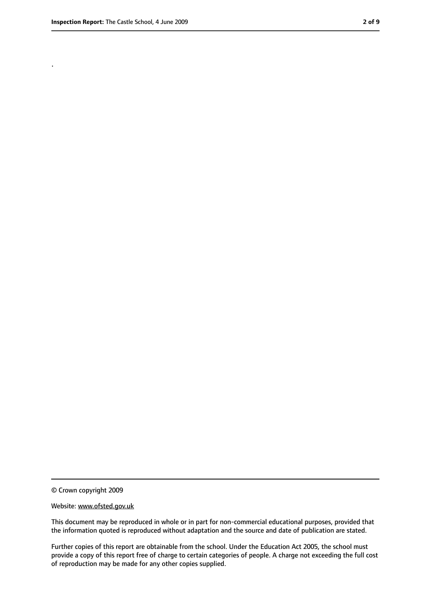.

<sup>©</sup> Crown copyright 2009

Website: www.ofsted.gov.uk

This document may be reproduced in whole or in part for non-commercial educational purposes, provided that the information quoted is reproduced without adaptation and the source and date of publication are stated.

Further copies of this report are obtainable from the school. Under the Education Act 2005, the school must provide a copy of this report free of charge to certain categories of people. A charge not exceeding the full cost of reproduction may be made for any other copies supplied.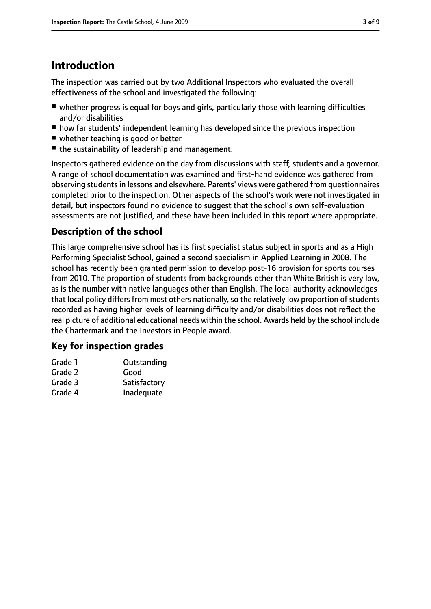# **Introduction**

The inspection was carried out by two Additional Inspectors who evaluated the overall effectiveness of the school and investigated the following:

- whether progress is equal for boys and girls, particularly those with learning difficulties and/or disabilities
- how far students' independent learning has developed since the previous inspection
- whether teaching is good or better
- the sustainability of leadership and management.

Inspectors gathered evidence on the day from discussions with staff, students and a governor. A range of school documentation was examined and first-hand evidence was gathered from observing students in lessons and elsewhere. Parents' views were gathered from questionnaires completed prior to the inspection. Other aspects of the school's work were not investigated in detail, but inspectors found no evidence to suggest that the school's own self-evaluation assessments are not justified, and these have been included in this report where appropriate.

#### **Description of the school**

This large comprehensive school has its first specialist status subject in sports and as a High Performing Specialist School, gained a second specialism in Applied Learning in 2008. The school has recently been granted permission to develop post-16 provision for sports courses from 2010. The proportion of students from backgrounds other than White British is very low, as is the number with native languages other than English. The local authority acknowledges that local policy differs from most others nationally, so the relatively low proportion of students recorded as having higher levels of learning difficulty and/or disabilities does not reflect the real picture of additional educational needs within the school. Awards held by the school include the Chartermark and the Investors in People award.

#### **Key for inspection grades**

| Grade 1 | Outstanding  |
|---------|--------------|
| Grade 2 | Good         |
| Grade 3 | Satisfactory |
| Grade 4 | Inadequate   |
|         |              |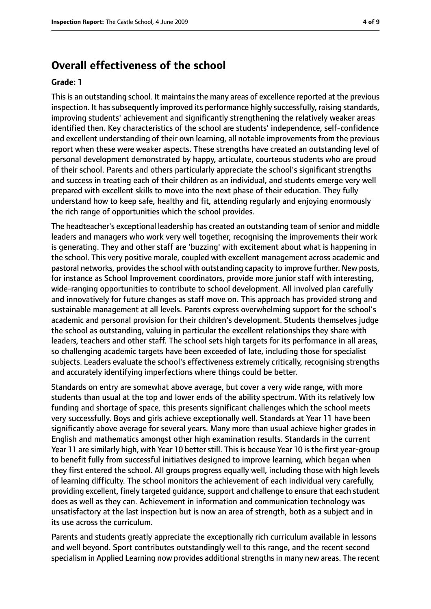## **Overall effectiveness of the school**

#### **Grade: 1**

Thisis an outstanding school. It maintainsthe many areas of excellence reported at the previous inspection. It has subsequently improved its performance highly successfully, raising standards, improving students' achievement and significantly strengthening the relatively weaker areas identified then. Key characteristics of the school are students' independence, self-confidence and excellent understanding of their own learning, all notable improvements from the previous report when these were weaker aspects. These strengths have created an outstanding level of personal development demonstrated by happy, articulate, courteous students who are proud of their school. Parents and others particularly appreciate the school's significant strengths and success in treating each of their children as an individual, and students emerge very well prepared with excellent skills to move into the next phase of their education. They fully understand how to keep safe, healthy and fit, attending regularly and enjoying enormously the rich range of opportunities which the school provides.

The headteacher's exceptional leadership has created an outstanding team of senior and middle leaders and managers who work very well together, recognising the improvements their work is generating. They and other staff are 'buzzing' with excitement about what is happening in the school. This very positive morale, coupled with excellent management across academic and pastoral networks, provides the school with outstanding capacity to improve further. New posts, for instance as School Improvement coordinators, provide more junior staff with interesting, wide-ranging opportunities to contribute to school development. All involved plan carefully and innovatively for future changes as staff move on. This approach has provided strong and sustainable management at all levels. Parents express overwhelming support for the school's academic and personal provision for their children's development. Students themselves judge the school as outstanding, valuing in particular the excellent relationships they share with leaders, teachers and other staff. The school sets high targets for its performance in all areas, so challenging academic targets have been exceeded of late, including those for specialist subjects. Leaders evaluate the school's effectiveness extremely critically, recognising strengths and accurately identifying imperfections where things could be better.

Standards on entry are somewhat above average, but cover a very wide range, with more students than usual at the top and lower ends of the ability spectrum. With its relatively low funding and shortage of space, this presents significant challenges which the school meets very successfully. Boys and girls achieve exceptionally well. Standards at Year 11 have been significantly above average for several years. Many more than usual achieve higher grades in English and mathematics amongst other high examination results. Standards in the current Year 11 are similarly high, with Year 10 better still. This is because Year 10 is the first year-group to benefit fully from successful initiatives designed to improve learning, which began when they first entered the school. All groups progress equally well, including those with high levels of learning difficulty. The school monitors the achievement of each individual very carefully, providing excellent, finely targeted quidance, support and challenge to ensure that each student does as well as they can. Achievement in information and communication technology was unsatisfactory at the last inspection but is now an area of strength, both as a subject and in its use across the curriculum.

Parents and students greatly appreciate the exceptionally rich curriculum available in lessons and well beyond. Sport contributes outstandingly well to this range, and the recent second specialism in Applied Learning now provides additional strengths in many new areas. The recent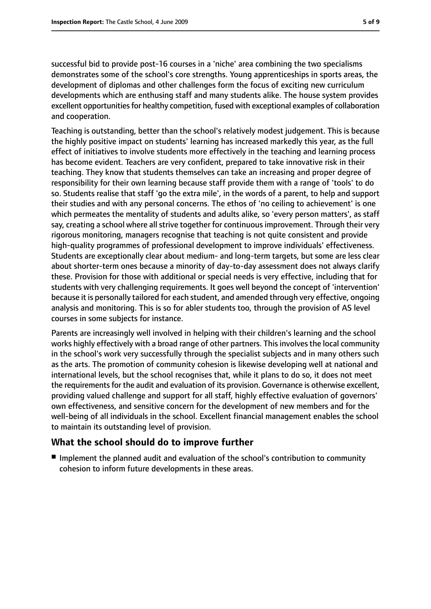successful bid to provide post-16 courses in a 'niche' area combining the two specialisms demonstrates some of the school's core strengths. Young apprenticeships in sports areas, the development of diplomas and other challenges form the focus of exciting new curriculum developments which are enthusing staff and many students alike. The house system provides excellent opportunities for healthy competition, fused with exceptional examples of collaboration and cooperation.

Teaching is outstanding, better than the school's relatively modest judgement. This is because the highly positive impact on students' learning has increased markedly this year, as the full effect of initiatives to involve students more effectively in the teaching and learning process has become evident. Teachers are very confident, prepared to take innovative risk in their teaching. They know that students themselves can take an increasing and proper degree of responsibility for their own learning because staff provide them with a range of 'tools' to do so. Students realise that staff 'go the extra mile', in the words of a parent, to help and support their studies and with any personal concerns. The ethos of 'no ceiling to achievement' is one which permeates the mentality of students and adults alike, so 'every person matters', as staff say, creating a school where all strive together for continuous improvement. Through their very rigorous monitoring, managers recognise that teaching is not quite consistent and provide high-quality programmes of professional development to improve individuals' effectiveness. Students are exceptionally clear about medium- and long-term targets, but some are less clear about shorter-term ones because a minority of day-to-day assessment does not always clarify these. Provision for those with additional or special needs is very effective, including that for students with very challenging requirements. It goes well beyond the concept of 'intervention' because it is personally tailored for each student, and amended through very effective, ongoing analysis and monitoring. This is so for abler students too, through the provision of AS level courses in some subjects for instance.

Parents are increasingly well involved in helping with their children's learning and the school works highly effectively with a broad range of other partners. This involves the local community in the school's work very successfully through the specialist subjects and in many others such as the arts. The promotion of community cohesion is likewise developing well at national and international levels, but the school recognises that, while it plans to do so, it does not meet the requirements for the audit and evaluation of its provision. Governance is otherwise excellent, providing valued challenge and support for all staff, highly effective evaluation of governors' own effectiveness, and sensitive concern for the development of new members and for the well-being of all individuals in the school. Excellent financial management enables the school to maintain its outstanding level of provision.

#### **What the school should do to improve further**

■ Implement the planned audit and evaluation of the school's contribution to community cohesion to inform future developments in these areas.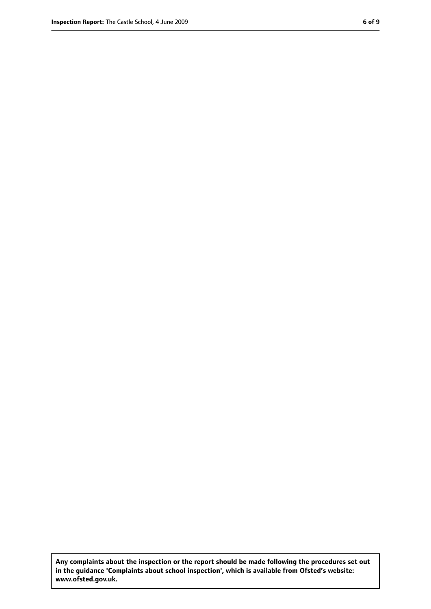**Any complaints about the inspection or the report should be made following the procedures set out in the guidance 'Complaints about school inspection', which is available from Ofsted's website: www.ofsted.gov.uk.**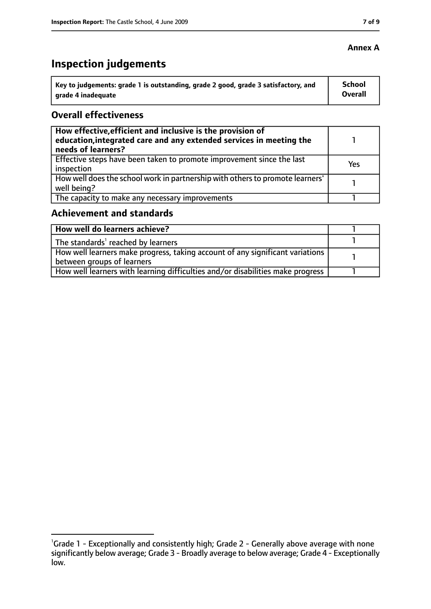#### **Annex A**

# **Inspection judgements**

| Key to judgements: grade 1 is outstanding, grade 2 good, grade 3 satisfactory, and | <b>School</b> |
|------------------------------------------------------------------------------------|---------------|
| arade 4 inadequate                                                                 | Overall       |

#### **Overall effectiveness**

| How effective, efficient and inclusive is the provision of<br>education, integrated care and any extended services in meeting the<br>needs of learners? |     |
|---------------------------------------------------------------------------------------------------------------------------------------------------------|-----|
| Effective steps have been taken to promote improvement since the last<br>inspection                                                                     | Yes |
| How well does the school work in partnership with others to promote learners'<br>well being?                                                            |     |
| The capacity to make any necessary improvements                                                                                                         |     |

## **Achievement and standards**

| How well do learners achieve?                                                  |  |
|--------------------------------------------------------------------------------|--|
| $\vert$ The standards <sup>1</sup> reached by learners                         |  |
| How well learners make progress, taking account of any significant variations  |  |
| between groups of learners                                                     |  |
| How well learners with learning difficulties and/or disabilities make progress |  |

<sup>&</sup>lt;sup>1</sup>Grade 1 - Exceptionally and consistently high; Grade 2 - Generally above average with none significantly below average; Grade 3 - Broadly average to below average; Grade 4 - Exceptionally low.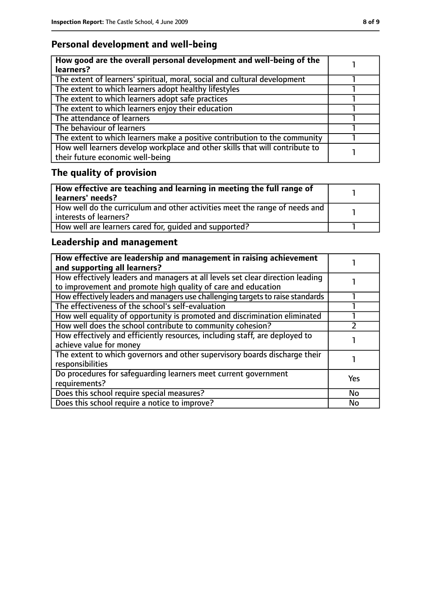# **Personal development and well-being**

| How good are the overall personal development and well-being of the<br>learners?                                 |  |
|------------------------------------------------------------------------------------------------------------------|--|
| The extent of learners' spiritual, moral, social and cultural development                                        |  |
| The extent to which learners adopt healthy lifestyles                                                            |  |
| The extent to which learners adopt safe practices                                                                |  |
| The extent to which learners enjoy their education                                                               |  |
| The attendance of learners                                                                                       |  |
| The behaviour of learners                                                                                        |  |
| The extent to which learners make a positive contribution to the community                                       |  |
| How well learners develop workplace and other skills that will contribute to<br>their future economic well-being |  |

# **The quality of provision**

| How effective are teaching and learning in meeting the full range of<br>learners' needs?              |  |
|-------------------------------------------------------------------------------------------------------|--|
| How well do the curriculum and other activities meet the range of needs and<br>interests of learners? |  |
| How well are learners cared for, quided and supported?                                                |  |

# **Leadership and management**

| How effective are leadership and management in raising achievement<br>and supporting all learners?                                              |     |
|-------------------------------------------------------------------------------------------------------------------------------------------------|-----|
| How effectively leaders and managers at all levels set clear direction leading<br>to improvement and promote high quality of care and education |     |
| How effectively leaders and managers use challenging targets to raise standards                                                                 |     |
| The effectiveness of the school's self-evaluation                                                                                               |     |
| How well equality of opportunity is promoted and discrimination eliminated                                                                      |     |
| How well does the school contribute to community cohesion?                                                                                      |     |
| How effectively and efficiently resources, including staff, are deployed to<br>achieve value for money                                          |     |
| The extent to which governors and other supervisory boards discharge their<br>responsibilities                                                  |     |
| Do procedures for safequarding learners meet current government<br>requirements?                                                                | Yes |
| Does this school require special measures?                                                                                                      | No  |
| Does this school require a notice to improve?                                                                                                   | No  |